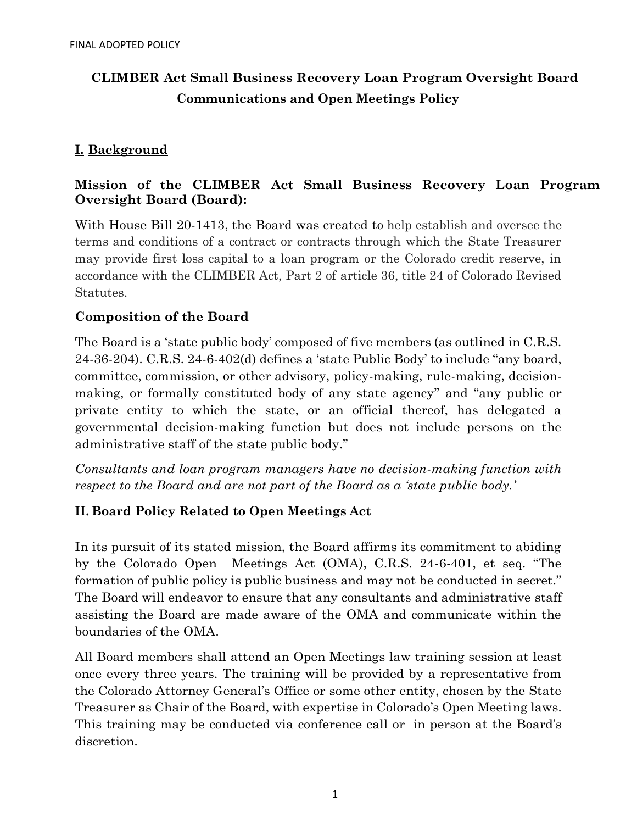# **CLIMBER Act Small Business Recovery Loan Program Oversight Board Communications and Open Meetings Policy**

## **I. Background**

## **Mission of the CLIMBER Act Small Business Recovery Loan Program Oversight Board (Board):**

With House Bill 20-1413, the Board was created to help establish and oversee the terms and conditions of a contract or contracts through which the State Treasurer may provide first loss capital to a loan program or the Colorado credit reserve, in accordance with the CLIMBER Act, Part 2 of article 36, title 24 of Colorado Revised Statutes.

#### **Composition of the Board**

The Board is a 'state public body' composed of five members (as outlined in C.R.S. 24-36-204). C.R.S. 24-6-402(d) defines a 'state Public Body' to include "any board, committee, commission, or other advisory, policy-making, rule-making, decisionmaking, or formally constituted body of any state agency" and "any public or private entity to which the state, or an official thereof, has delegated a governmental decision-making function but does not include persons on the administrative staff of the state public body."

*Consultants and loan program managers have no decision-making function with respect to the Board and are not part of the Board as a 'state public body.'*

#### **II. Board Policy Related to Open Meetings Act**

In its pursuit of its stated mission, the Board affirms its commitment to abiding by the Colorado Open Meetings Act (OMA), C.R.S. 24-6-401, et seq. "The formation of public policy is public business and may not be conducted in secret." The Board will endeavor to ensure that any consultants and administrative staff assisting the Board are made aware of the OMA and communicate within the boundaries of the OMA.

All Board members shall attend an Open Meetings law training session at least once every three years. The training will be provided by a representative from the Colorado Attorney General's Office or some other entity, chosen by the State Treasurer as Chair of the Board, with expertise in Colorado's Open Meeting laws. This training may be conducted via conference call or in person at the Board's discretion.